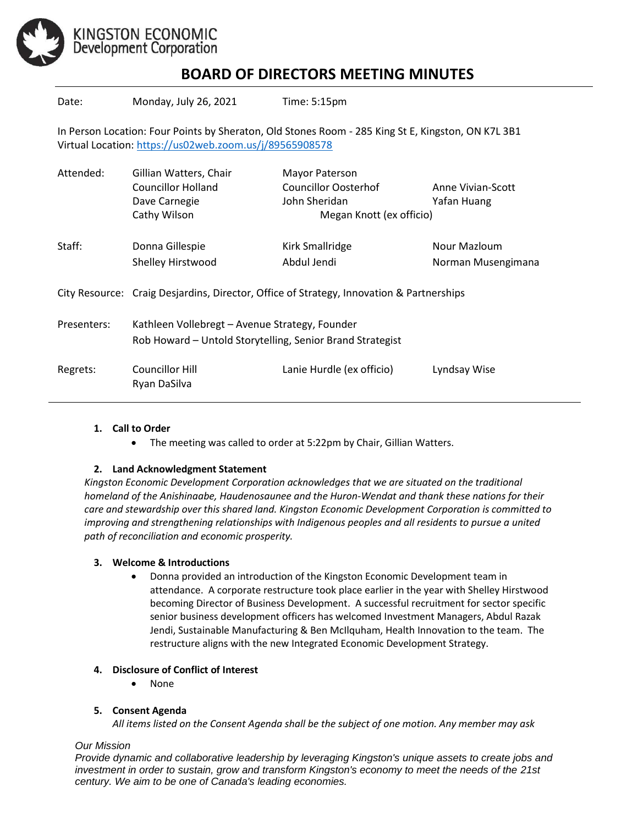

# **BOARD OF DIRECTORS MEETING MINUTES**

| Date:                                                                                                                                                         | Monday, July 26, 2021                                                                                       | Time: 5:15pm                                                                                      |                                    |
|---------------------------------------------------------------------------------------------------------------------------------------------------------------|-------------------------------------------------------------------------------------------------------------|---------------------------------------------------------------------------------------------------|------------------------------------|
| In Person Location: Four Points by Sheraton, Old Stones Room - 285 King St E, Kingston, ON K7L 3B1<br>Virtual Location: https://us02web.zoom.us/j/89565908578 |                                                                                                             |                                                                                                   |                                    |
| Attended:                                                                                                                                                     | Gillian Watters, Chair<br><b>Councillor Holland</b><br>Dave Carnegie<br>Cathy Wilson                        | <b>Mayor Paterson</b><br><b>Councillor Oosterhof</b><br>John Sheridan<br>Megan Knott (ex officio) | Anne Vivian-Scott<br>Yafan Huang   |
| Staff:                                                                                                                                                        | Donna Gillespie<br>Shelley Hirstwood                                                                        | Kirk Smallridge<br>Abdul Jendi                                                                    | Nour Mazloum<br>Norman Musengimana |
|                                                                                                                                                               | City Resource: Craig Desjardins, Director, Office of Strategy, Innovation & Partnerships                    |                                                                                                   |                                    |
| Presenters:                                                                                                                                                   | Kathleen Vollebregt - Avenue Strategy, Founder<br>Rob Howard - Untold Storytelling, Senior Brand Strategist |                                                                                                   |                                    |
| Regrets:                                                                                                                                                      | <b>Councillor Hill</b><br>Ryan DaSilva                                                                      | Lanie Hurdle (ex officio)                                                                         | Lyndsay Wise                       |
|                                                                                                                                                               |                                                                                                             |                                                                                                   |                                    |

# **1. Call to Order**

• The meeting was called to order at 5:22pm by Chair, Gillian Watters.

# **2. Land Acknowledgment Statement**

*Kingston Economic Development Corporation acknowledges that we are situated on the traditional homeland of the Anishinaabe, Haudenosaunee and the Huron-Wendat and thank these nations for their care and stewardship over this shared land. Kingston Economic Development Corporation is committed to improving and strengthening relationships with Indigenous peoples and all residents to pursue a united path of reconciliation and economic prosperity.*

#### **3. Welcome & Introductions**

• Donna provided an introduction of the Kingston Economic Development team in attendance. A corporate restructure took place earlier in the year with Shelley Hirstwood becoming Director of Business Development. A successful recruitment for sector specific senior business development officers has welcomed Investment Managers, Abdul Razak Jendi, Sustainable Manufacturing & Ben McIlquham, Health Innovation to the team. The restructure aligns with the new Integrated Economic Development Strategy.

#### **4. Disclosure of Conflict of Interest**

• None

# **5. Consent Agenda**

*All items listed on the Consent Agenda shall be the subject of one motion. Any member may ask* 

#### *Our Mission*

*Provide dynamic and collaborative leadership by leveraging Kingston's unique assets to create jobs and investment in order to sustain, grow and transform Kingston's economy to meet the needs of the 21st century. We aim to be one of Canada's leading economies.*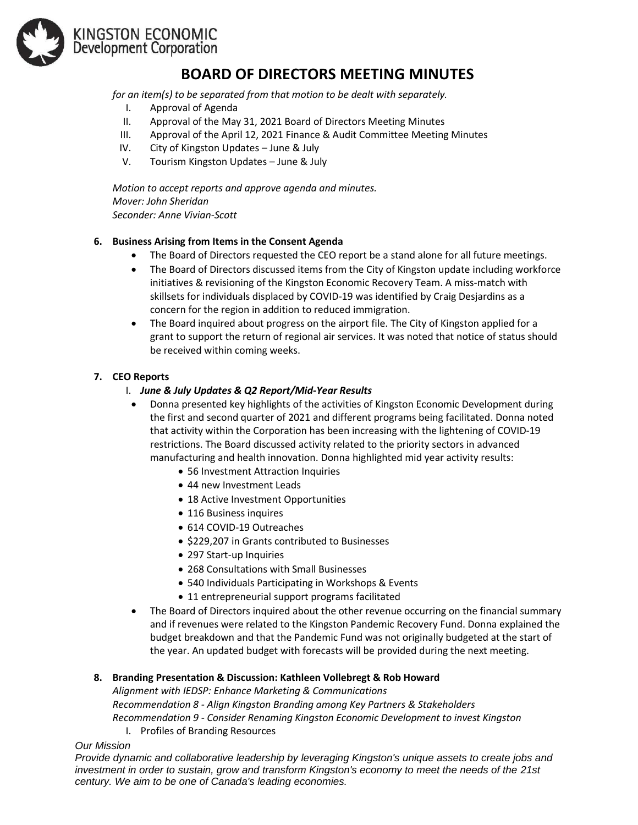

KINGSTON ECONOMIC<br>Development Corporation

# **BOARD OF DIRECTORS MEETING MINUTES**

*for an item(s) to be separated from that motion to be dealt with separately.*

- I. Approval of Agenda
- II. Approval of the May 31, 2021 Board of Directors Meeting Minutes
- III. Approval of the April 12, 2021 Finance & Audit Committee Meeting Minutes
- IV. City of Kingston Updates June & July
- V. Tourism Kingston Updates June & July

*Motion to accept reports and approve agenda and minutes. Mover: John Sheridan Seconder: Anne Vivian-Scott* 

# **6. Business Arising from Items in the Consent Agenda**

- The Board of Directors requested the CEO report be a stand alone for all future meetings.
- The Board of Directors discussed items from the City of Kingston update including workforce initiatives & revisioning of the Kingston Economic Recovery Team. A miss-match with skillsets for individuals displaced by COVID-19 was identified by Craig Desjardins as a concern for the region in addition to reduced immigration.
- The Board inquired about progress on the airport file. The City of Kingston applied for a grant to support the return of regional air services. It was noted that notice of status should be received within coming weeks.

# **7. CEO Reports**

- I. *June & July Updates & Q2 Report/Mid-Year Results*
- Donna presented key highlights of the activities of Kingston Economic Development during the first and second quarter of 2021 and different programs being facilitated. Donna noted that activity within the Corporation has been increasing with the lightening of COVID-19 restrictions. The Board discussed activity related to the priority sectors in advanced manufacturing and health innovation. Donna highlighted mid year activity results:
	- 56 Investment Attraction Inquiries
	- 44 new Investment Leads
	- 18 Active Investment Opportunities
	- 116 Business inquires
	- 614 COVID-19 Outreaches
	- \$229,207 in Grants contributed to Businesses
	- 297 Start-up Inquiries
	- 268 Consultations with Small Businesses
	- 540 Individuals Participating in Workshops & Events
	- 11 entrepreneurial support programs facilitated
- The Board of Directors inquired about the other revenue occurring on the financial summary and if revenues were related to the Kingston Pandemic Recovery Fund. Donna explained the budget breakdown and that the Pandemic Fund was not originally budgeted at the start of the year. An updated budget with forecasts will be provided during the next meeting.

# **8. Branding Presentation & Discussion: Kathleen Vollebregt & Rob Howard**

*Alignment with IEDSP: Enhance Marketing & Communications*

*Recommendation 8 - Align Kingston Branding among Key Partners & Stakeholders Recommendation 9 - Consider Renaming Kingston Economic Development to invest Kingston*

I. Profiles of Branding Resources

*Our Mission*

*Provide dynamic and collaborative leadership by leveraging Kingston's unique assets to create jobs and investment in order to sustain, grow and transform Kingston's economy to meet the needs of the 21st century. We aim to be one of Canada's leading economies.*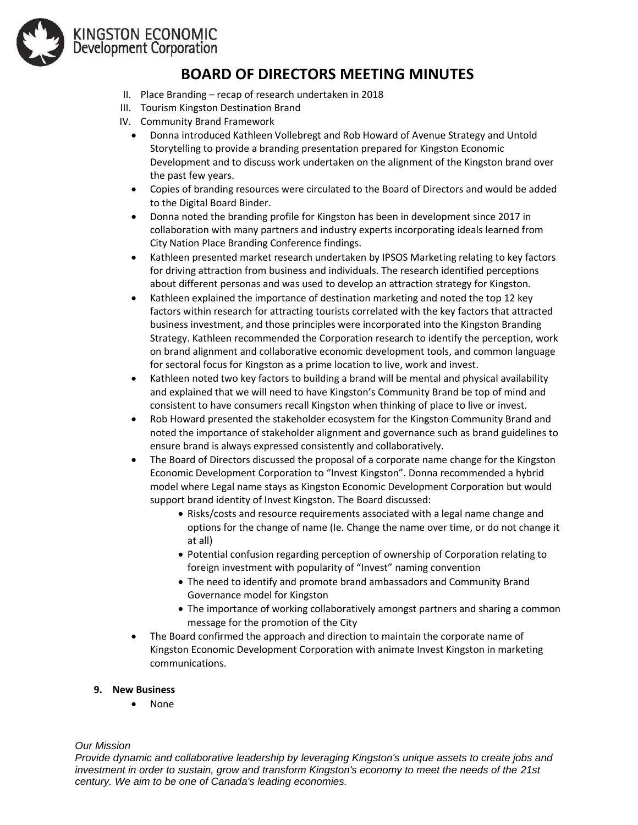

# KINGSTON ECONOMIC<br>Development Corporation

# **BOARD OF DIRECTORS MEETING MINUTES**

- II. Place Branding recap of research undertaken in 2018
- III. Tourism Kingston Destination Brand
- IV. Community Brand Framework
	- Donna introduced Kathleen Vollebregt and Rob Howard of Avenue Strategy and Untold Storytelling to provide a branding presentation prepared for Kingston Economic Development and to discuss work undertaken on the alignment of the Kingston brand over the past few years.
	- Copies of branding resources were circulated to the Board of Directors and would be added to the Digital Board Binder.
	- Donna noted the branding profile for Kingston has been in development since 2017 in collaboration with many partners and industry experts incorporating ideals learned from City Nation Place Branding Conference findings.
	- Kathleen presented market research undertaken by IPSOS Marketing relating to key factors for driving attraction from business and individuals. The research identified perceptions about different personas and was used to develop an attraction strategy for Kingston.
	- Kathleen explained the importance of destination marketing and noted the top 12 key factors within research for attracting tourists correlated with the key factors that attracted business investment, and those principles were incorporated into the Kingston Branding Strategy. Kathleen recommended the Corporation research to identify the perception, work on brand alignment and collaborative economic development tools, and common language for sectoral focus for Kingston as a prime location to live, work and invest.
	- Kathleen noted two key factors to building a brand will be mental and physical availability and explained that we will need to have Kingston's Community Brand be top of mind and consistent to have consumers recall Kingston when thinking of place to live or invest.
	- Rob Howard presented the stakeholder ecosystem for the Kingston Community Brand and noted the importance of stakeholder alignment and governance such as brand guidelines to ensure brand is always expressed consistently and collaboratively.
	- The Board of Directors discussed the proposal of a corporate name change for the Kingston Economic Development Corporation to "Invest Kingston". Donna recommended a hybrid model where Legal name stays as Kingston Economic Development Corporation but would support brand identity of Invest Kingston. The Board discussed:
		- Risks/costs and resource requirements associated with a legal name change and options for the change of name (Ie. Change the name over time, or do not change it at all)
		- Potential confusion regarding perception of ownership of Corporation relating to foreign investment with popularity of "Invest" naming convention
		- The need to identify and promote brand ambassadors and Community Brand Governance model for Kingston
		- The importance of working collaboratively amongst partners and sharing a common message for the promotion of the City
	- The Board confirmed the approach and direction to maintain the corporate name of Kingston Economic Development Corporation with animate Invest Kingston in marketing communications.
- **9. New Business**
	- None

# *Our Mission*

*Provide dynamic and collaborative leadership by leveraging Kingston's unique assets to create jobs and investment in order to sustain, grow and transform Kingston's economy to meet the needs of the 21st century. We aim to be one of Canada's leading economies.*